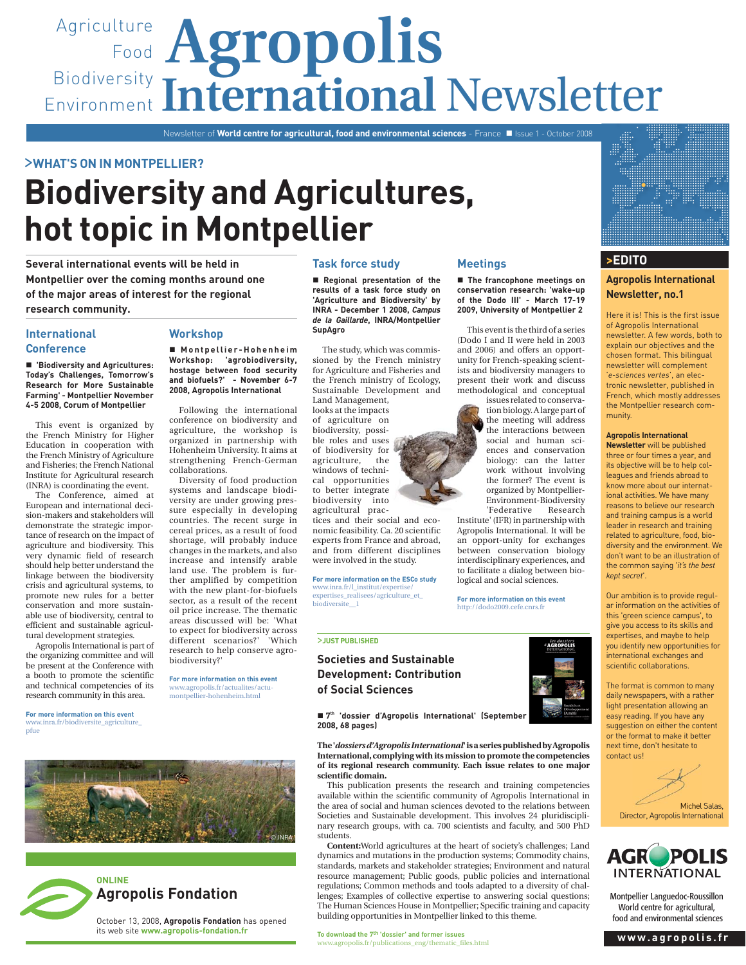# Agriculture **Agropolis** Food Biodiversity Environment International Newsletter

Newsletter of **World centre for agricultural, food and environmental sciences** - France ■ Issue 1 - October 2008

# >**WHAT'S ON IN MONTPELLIER?**

# **Biodiversity and Agricultures, hot topic in Montpellier**

**Several international events will be held in Montpellier over the coming months around one of the major areas of interest for the regional research community.**

# **International Conference**

 **'Biodiversity and Agricultures: Today's Challenges, Tomorrow's Research for More Sustainable Farming' - Montpellier November 4-5 2008, Corum of Montpellier**

This event is organized by the French Ministry for Higher Education in cooperation with the French Ministry of Agriculture and Fisheries; the French National Institute for Agricultural research (INRA) is coordinating the event.

The Conference, aimed at European and international decision-makers and stakeholders will demonstrate the strategic importance of research on the impact of agriculture and biodiversity. This very dynamic field of research should help better understand the linkage between the biodiversity crisis and agricultural systems, to promote new rules for a better conservation and more sustainable use of biodiversity, central to efficient and sustainable agricultural development strategies.

Agropolis International is part of the organizing committee and will be present at the Conference with a booth to promote the scientific and technical competencies of its research community in this area.

**For more information on this event** www.inra.fr/biodiversite\_agriculture\_ pfue

# **Workshop**

■ Montpellier-Hohenheim **Workshop: 'agrobiodiversity, hostage between food security and biofuels?' - November 6-7 2008, Agropolis International**

Following the international conference on biodiversity and agriculture, the workshop is organized in partnership with Hohenheim University. It aims at strengthening French-German collaborations.

Diversity of food production systems and landscape biodiversity are under growing pressure especially in developing countries. The recent surge in cereal prices, as a result of food shortage, will probably induce changes in the markets, and also increase and intensify arable land use. The problem is further amplified by competition with the new plant-for-biofuels sector, as a result of the recent oil price increase. The thematic areas discussed will be: 'What to expect for biodiversity across different scenarios?' 'Which research to help conserve agrobiodiversity?'

**For more information on this event**  www.agropolis.fr/actualites/actumontpellier-hohenheim.html

## **Task force study**

 **Regional presentation of the results of a task force study on 'Agriculture and Biodiversity' by INRA - December 1 2008,** *Campus de la Gaillarde***, INRA/Montpellier SupAgro**

The study, which was commissioned by the French ministry for Agriculture and Fisheries and the French ministry of Ecology, Sustainable Development and Land Management,

looks at the impacts of agriculture on biodiversity, possible roles and uses of biodiversity for agriculture, the windows of technical opportunities to better integrate biodiversity into agricultural prac-

tices and their social and economic feasibility. Ca. 20 scientific experts from France and abroad, and from different disciplines were involved in the study.

www.inra.fr/l\_institut/expertise/ expertises\_realisees/agriculture\_et\_ biodiversite\_\_1

#### >**JUST PUBLISHED**

# **Societies and Sustainable Development: Contribution of Social Sciences**

**Meetings**

 **The francophone meetings on conservation research: 'wake-up of the Dodo III' - March 17-19 2009, University of Montpellier 2**

This event is the third of a series (Dodo I and II were held in 2003 and 2006) and offers an opportunity for French-speaking scientists and biodiversity managers to present their work and discuss methodological and conceptual

issues related to conservation biology. A large part of the meeting will address the interactions between social and human sciences and conservation biology: can the latter work without involving the former? The event is organized by Montpellier-Environment-Biodiversity 'Federative Research

Institute' (IFR) in partnership with Agropolis International. It will be an opport-unity for exchanges between conservation biology interdisciplinary experiences, and to facilitate a dialog between biological and social sciences.

**For more information on this event** http://dodo2009.cefe.cnrs.fr



■ 7<sup>th</sup> 'dossier d'Agropolis International' (September **2008, 68 pages)**

**The '***dossiers d'Agropolis International***' is a series published by Agropolis International, complying with its mission to promote the competencies of its regional research community. Each issue relates to one major scientific domain.** 

This publication presents the research and training competencies available within the scientific community of Agropolis International in the area of social and human sciences devoted to the relations between Societies and Sustainable development. This involves 24 pluridisciplinary research groups, with ca. 700 scientists and faculty, and 500 PhD students.

**Content:**World agricultures at the heart of society's challenges; Land dynamics and mutations in the production systems; Commodity chains, standards, markets and stakeholder strategies; Environment and natural resource management; Public goods, public policies and international regulations; Common methods and tools adapted to a diversity of challenges; Examples of collective expertise to answering social questions; The Human Sciences House in Montpellier; Specific training and capacity building opportunities in Montpellier linked to this theme.





# **Agropolis Fondation**

October 13, 2008, **Agropolis Fondation** has opened its web site **www.agropolis-fondation.fr**





# **Newsletter, no.1**

Here it is! This is the first issue of Agropolis International newsletter. A few words, both to explain our objectives and the chosen format. This bilingual newsletter will complement '*e-sciences vertes*', an electronic newsletter, published in French, which mostly addresses the Montpellier research community.

### **Agropolis International**

**Newsletter** will be published three or four times a year, and its objective will be to help colleagues and friends abroad to know more about our international activities. We have many reasons to believe our research and training campus is a world leader in research and training related to agriculture, food, biodiversity and the environment. We don't want to be an illustration of the common saying '*it's the best kept secret*'.

Our ambition is to provide regular information on the activities of this 'green science campus', to give you access to its skills and expertises, and maybe to help you identify new opportunities for international exchanges and scientific collaborations.

The format is common to many daily newspapers, with a rather light presentation allowing an easy reading. If you have any suggestion on either the content or the format to make it better next time, don't hesitate to contact us!

Michel Salas, Michel is Internationa



Montpellier Languedoc-Roussillon World centre for agricultural, food and environmental sciences



**For more information on the ESCo study**